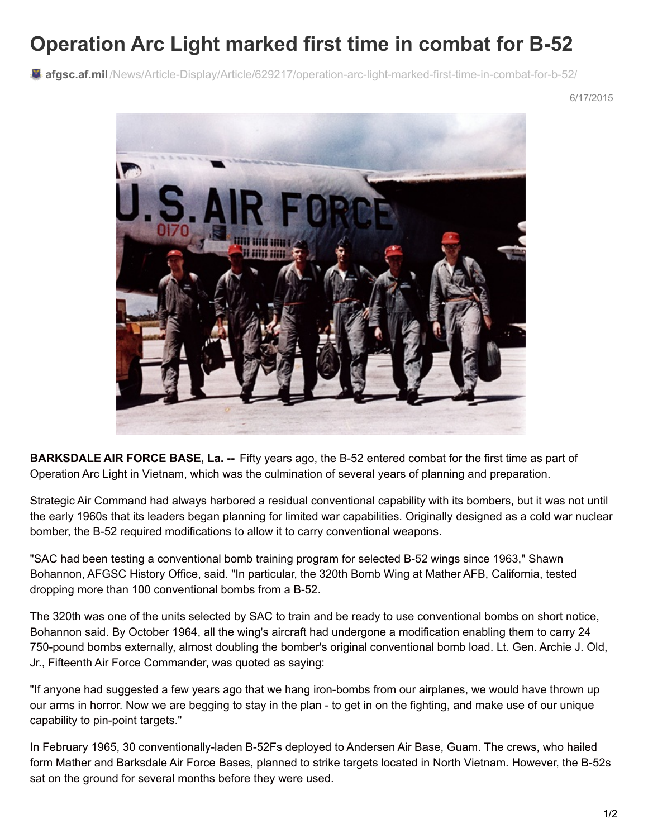## **Operation Arc Light marked first time in combat for B-52**

**afgsc.af.mil** [/News/Article-Display/Article/629217/operation-arc-light-marked-first-time-in-combat-for-b-52/](http://www.afgsc.af.mil/News/Article-Display/Article/629217/operation-arc-light-marked-first-time-in-combat-for-b-52/)

6/17/2015



**BARKSDALE AIR FORCE BASE, La. --** Fifty years ago, the B-52 entered combat for the first time as part of Operation Arc Light in Vietnam, which was the culmination of several years of planning and preparation.

Strategic Air Command had always harbored a residual conventional capability with its bombers, but it was not until the early 1960s that its leaders began planning for limited war capabilities. Originally designed as a cold war nuclear bomber, the B-52 required modifications to allow it to carry conventional weapons.

"SAC had been testing a conventional bomb training program for selected B-52 wings since 1963," Shawn Bohannon, AFGSC History Office, said. "In particular, the 320th Bomb Wing at Mather AFB, California, tested dropping more than 100 conventional bombs from a B-52.

The 320th was one of the units selected by SAC to train and be ready to use conventional bombs on short notice, Bohannon said. By October 1964, all the wing's aircraft had undergone a modification enabling them to carry 24 750-pound bombs externally, almost doubling the bomber's original conventional bomb load. Lt. Gen. Archie J. Old, Jr., Fifteenth Air Force Commander, was quoted as saying:

"If anyone had suggested a few years ago that we hang iron-bombs from our airplanes, we would have thrown up our arms in horror. Now we are begging to stay in the plan - to get in on the fighting, and make use of our unique capability to pin-point targets."

In February 1965, 30 conventionally-laden B-52Fs deployed to Andersen Air Base, Guam. The crews, who hailed form Mather and Barksdale Air Force Bases, planned to strike targets located in North Vietnam. However, the B-52s sat on the ground for several months before they were used.